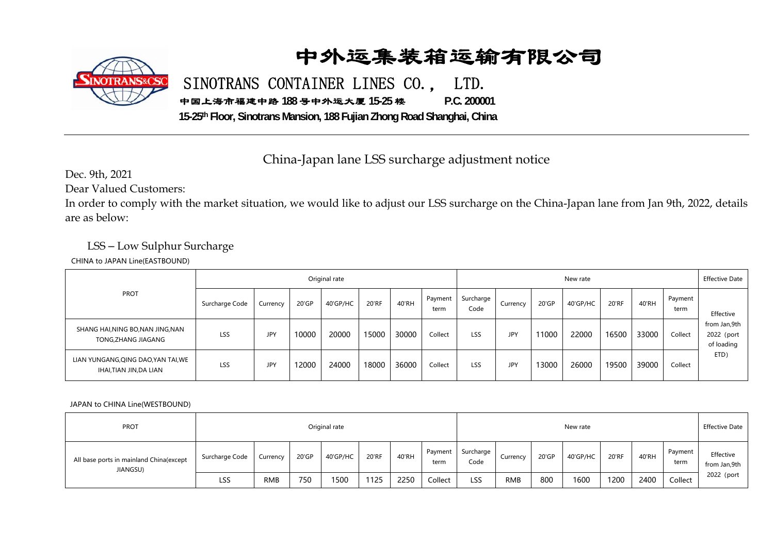## 中外运集装箱运输有限公司



SINOTRANS CONTAINER LINES CO., LTD.

中国上海市福建中路 **188** 号中外运大厦 **15-25** 楼 **P.C. 200001** 

**15-25th Floor, Sinotrans Mansion, 188 Fujian Zhong Road Shanghai, China**

China-Japan lane LSS surcharge adjustment notice

Dec. 9th, 2021

Dear Valued Customers:

In order to comply with the market situation, we would like to adjust our LSS surcharge on the China-Japan lane from Jan 9th, 2022, details are as below:

## LSS – Low Sulphur Surcharge

CHINA to JAPAN Line(EASTBOUND)

| <b>PROT</b>                                                  | Original rate  |            |       |          |       |       |                 |                   | New rate   |       |          |       |       |                 |                                          |
|--------------------------------------------------------------|----------------|------------|-------|----------|-------|-------|-----------------|-------------------|------------|-------|----------|-------|-------|-----------------|------------------------------------------|
|                                                              | Surcharge Code | Currencv   | 20'GP | 40'GP/HC | 20'RF | 40'RH | Payment<br>term | Surcharge<br>Code | Currency   | 20'GP | 40'GP/HC | 20'RF | 40'RH | Payment<br>term | Effective                                |
| SHANG HAI, NING BO, NAN JING, NAN<br>TONG, ZHANG JIAGANG     | LSS            | <b>JPY</b> | 10000 | 20000    | 15000 | 30000 | Collect         | LSS               | JPY        | 11000 | 22000    | 16500 | 33000 | Collect         | from Jan,9th<br>2022 (port<br>of loading |
| LIAN YUNGANG, QING DAO, YAN TAI, WE<br>IHAI,TIAN JIN,DA LIAN | LSS            | <b>JPY</b> | 12000 | 24000    | 18000 | 36000 | Collect         | LSS               | <b>JPY</b> | 13000 | 26000    | 19500 | 39000 | Collect         | ETD)                                     |

## JAPAN to CHINA Line(WESTBOUND)

| <b>PROT</b>                                         | Original rate  |            |       |          |       |       |                 |                   | New rate   |       |          |       |       |                 |                           |
|-----------------------------------------------------|----------------|------------|-------|----------|-------|-------|-----------------|-------------------|------------|-------|----------|-------|-------|-----------------|---------------------------|
| All base ports in mainland China(except<br>JIANGSU) | Surcharge Code | Currencv   | 20'GP | 40'GP/HC | 20'RF | 40'RH | Payment<br>term | Surcharge<br>Code | Currency   | 20'GP | 40'GP/HC | 20'RF | 40'RH | Payment<br>term | Effective<br>from Jan,9th |
|                                                     | LSS            | <b>RMB</b> | 750   | 1500     | 1125  | 2250  | Collect         | LSS               | <b>RMB</b> | 800   | 1600     | 1200  | 2400  | Collect         | 2022 (port                |